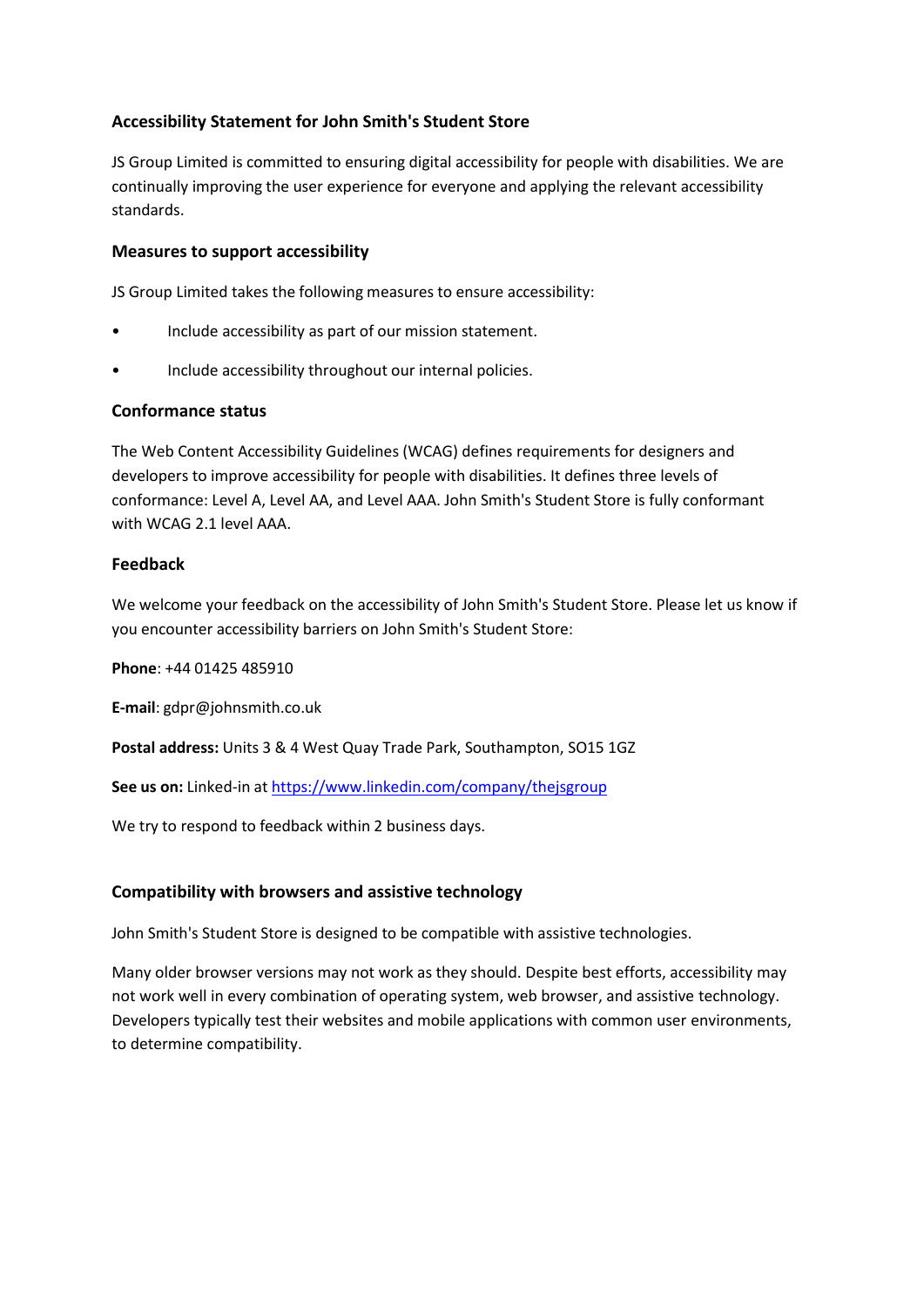# **Accessibility Statement for John Smith's Student Store**

JS Group Limited is committed to ensuring digital accessibility for people with disabilities. We are continually improving the user experience for everyone and applying the relevant accessibility standards.

#### **Measures to support accessibility**

JS Group Limited takes the following measures to ensure accessibility:

- Include accessibility as part of our mission statement.
- Include accessibility throughout our internal policies.

#### **Conformance status**

The Web Content Accessibility Guidelines (WCAG) defines requirements for designers and developers to improve accessibility for people with disabilities. It defines three levels of conformance: Level A, Level AA, and Level AAA. John Smith's Student Store is fully conformant with WCAG 2.1 level AAA.

#### **Feedback**

We welcome your feedback on the accessibility of John Smith's Student Store. Please let us know if you encounter accessibility barriers on John Smith's Student Store:

**Phone**: +44 01425 485910

**E-mail**: gdpr@johnsmith.co.uk

**Postal address:** Units 3 & 4 West Quay Trade Park, Southampton, SO15 1GZ

**See us on:** Linked-in at <https://www.linkedin.com/company/thejsgroup>

We try to respond to feedback within 2 business days.

### **Compatibility with browsers and assistive technology**

John Smith's Student Store is designed to be compatible with assistive technologies.

Many older browser versions may not work as they should. Despite best efforts, accessibility may not work well in every combination of operating system, web browser, and assistive technology. Developers typically test their websites and mobile applications with common user environments, to determine compatibility.